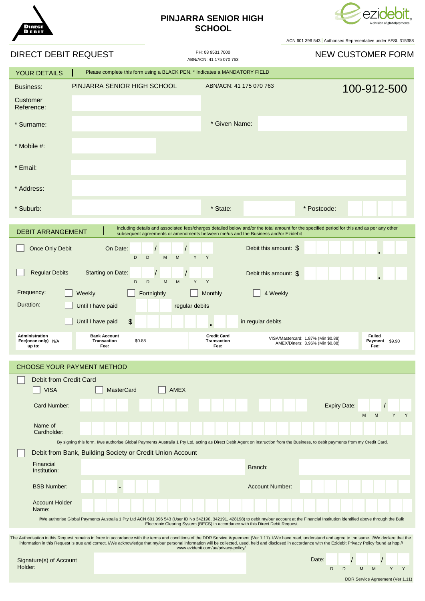

## **PINJARRA SENIOR HIGH SCHOOL**



ACN 601 396 543 Authorised Representative under AFSL 315388

| DIRECT DEBIT REQUEST                                                                                                                                                                                                                                                                                                                                                                                                                                                     |                                                                            | PH: 08 9531 7000<br>ABN/ACN: 41 175 070 763      | <b>NEW CUSTOMER FORM</b>                                                                                                                                                        |
|--------------------------------------------------------------------------------------------------------------------------------------------------------------------------------------------------------------------------------------------------------------------------------------------------------------------------------------------------------------------------------------------------------------------------------------------------------------------------|----------------------------------------------------------------------------|--------------------------------------------------|---------------------------------------------------------------------------------------------------------------------------------------------------------------------------------|
| YOUR DETAILS                                                                                                                                                                                                                                                                                                                                                                                                                                                             | Please complete this form using a BLACK PEN. * Indicates a MANDATORY FIELD |                                                  |                                                                                                                                                                                 |
| Business:                                                                                                                                                                                                                                                                                                                                                                                                                                                                | PINJARRA SENIOR HIGH SCHOOL                                                | ABN/ACN: 41 175 070 763                          | 100-912-500                                                                                                                                                                     |
| Customer<br>Reference:                                                                                                                                                                                                                                                                                                                                                                                                                                                   |                                                                            |                                                  |                                                                                                                                                                                 |
| * Surname:                                                                                                                                                                                                                                                                                                                                                                                                                                                               |                                                                            | * Given Name:                                    |                                                                                                                                                                                 |
| * Mobile #:                                                                                                                                                                                                                                                                                                                                                                                                                                                              |                                                                            |                                                  |                                                                                                                                                                                 |
| * Email:                                                                                                                                                                                                                                                                                                                                                                                                                                                                 |                                                                            |                                                  |                                                                                                                                                                                 |
| * Address:                                                                                                                                                                                                                                                                                                                                                                                                                                                               |                                                                            |                                                  |                                                                                                                                                                                 |
| * Suburb:                                                                                                                                                                                                                                                                                                                                                                                                                                                                |                                                                            | * State:                                         | * Postcode:                                                                                                                                                                     |
| Including details and associated fees/charges detailed below and/or the total amount for the specified period for this and as per any other<br><b>DEBIT ARRANGEMENT</b><br>subsequent agreements or amendments between me/us and the Business and/or Ezidebit                                                                                                                                                                                                            |                                                                            |                                                  |                                                                                                                                                                                 |
| Once Only Debit                                                                                                                                                                                                                                                                                                                                                                                                                                                          | On Date:<br>D<br>D<br>M<br>M                                               | Y<br>Y                                           | Debit this amount: \$                                                                                                                                                           |
| <b>Regular Debits</b>                                                                                                                                                                                                                                                                                                                                                                                                                                                    | Starting on Date:<br>D<br>D<br>M<br>M                                      | Y<br>Y                                           | Debit this amount: \$                                                                                                                                                           |
| Frequency:                                                                                                                                                                                                                                                                                                                                                                                                                                                               | Weekly<br>Fortnightly                                                      | Monthly                                          | 4 Weekly                                                                                                                                                                        |
| Duration:<br>Until I have paid<br>regular debits                                                                                                                                                                                                                                                                                                                                                                                                                         |                                                                            |                                                  |                                                                                                                                                                                 |
|                                                                                                                                                                                                                                                                                                                                                                                                                                                                          | \$<br>Until I have paid                                                    | in regular debits                                |                                                                                                                                                                                 |
| <b>Administration</b><br>Fee(once only) N/A<br>up to:                                                                                                                                                                                                                                                                                                                                                                                                                    | <b>Bank Account</b><br><b>Transaction</b><br>\$0.88<br>Fee:                | <b>Credit Card</b><br><b>Transaction</b><br>Fee: | Failed<br>VISA/Mastercard: 1.87% (Min \$0.88)<br>Payment \$9.90<br>AMEX/Diners: 3.96% (Min \$0.88)<br>Fee:                                                                      |
| <b>CHOOSE YOUR PAYMENT METHOD</b>                                                                                                                                                                                                                                                                                                                                                                                                                                        |                                                                            |                                                  |                                                                                                                                                                                 |
| Debit from Credit Card                                                                                                                                                                                                                                                                                                                                                                                                                                                   |                                                                            |                                                  |                                                                                                                                                                                 |
| <b>VISA</b>                                                                                                                                                                                                                                                                                                                                                                                                                                                              | <b>AMEX</b><br><b>MasterCard</b>                                           |                                                  |                                                                                                                                                                                 |
| Card Number:                                                                                                                                                                                                                                                                                                                                                                                                                                                             |                                                                            |                                                  | <b>Expiry Date:</b><br>M<br>M<br>Y<br>Y                                                                                                                                         |
| Name of<br>Cardholder:                                                                                                                                                                                                                                                                                                                                                                                                                                                   |                                                                            |                                                  |                                                                                                                                                                                 |
|                                                                                                                                                                                                                                                                                                                                                                                                                                                                          |                                                                            |                                                  | By signing this form, I/we authorise Global Payments Australia 1 Pty Ltd, acting as Direct Debit Agent on instruction from the Business, to debit payments from my Credit Card. |
|                                                                                                                                                                                                                                                                                                                                                                                                                                                                          | Debit from Bank, Building Society or Credit Union Account                  |                                                  |                                                                                                                                                                                 |
| Financial<br>Institution:                                                                                                                                                                                                                                                                                                                                                                                                                                                |                                                                            | Branch:                                          |                                                                                                                                                                                 |
| <b>BSB Number:</b>                                                                                                                                                                                                                                                                                                                                                                                                                                                       |                                                                            |                                                  | <b>Account Number:</b>                                                                                                                                                          |
| <b>Account Holder</b><br>Name:                                                                                                                                                                                                                                                                                                                                                                                                                                           |                                                                            |                                                  |                                                                                                                                                                                 |
| I/We authorise Global Payments Australia 1 Pty Ltd ACN 601 396 543 (User ID No 342190, 342191, 428198) to debit my/our account at the Financial Institution identified above through the Bulk<br>Electronic Clearing System (BECS) in accordance with this Direct Debit Request.                                                                                                                                                                                         |                                                                            |                                                  |                                                                                                                                                                                 |
| The Authorisation in this Request remains in force in accordance with the terms and conditions of the DDR Service Agreement (Ver 1.11). I/We have read, understand and agree to the same. I/We declare that the<br>information in this Request is true and correct. I/We acknowledge that my/our personal information will be collected, used, held and disclosed in accordance with the Ezidebit Privacy Policy found at http://<br>www.ezidebit.com/au/privacy-policy/ |                                                                            |                                                  |                                                                                                                                                                                 |
| Signature(s) of Account<br>Holder:                                                                                                                                                                                                                                                                                                                                                                                                                                       |                                                                            |                                                  | Date:                                                                                                                                                                           |
|                                                                                                                                                                                                                                                                                                                                                                                                                                                                          |                                                                            |                                                  | D<br>D<br>M<br>Y<br>M<br>Y<br>DDR Service Agreement (Ver 1.11)                                                                                                                  |